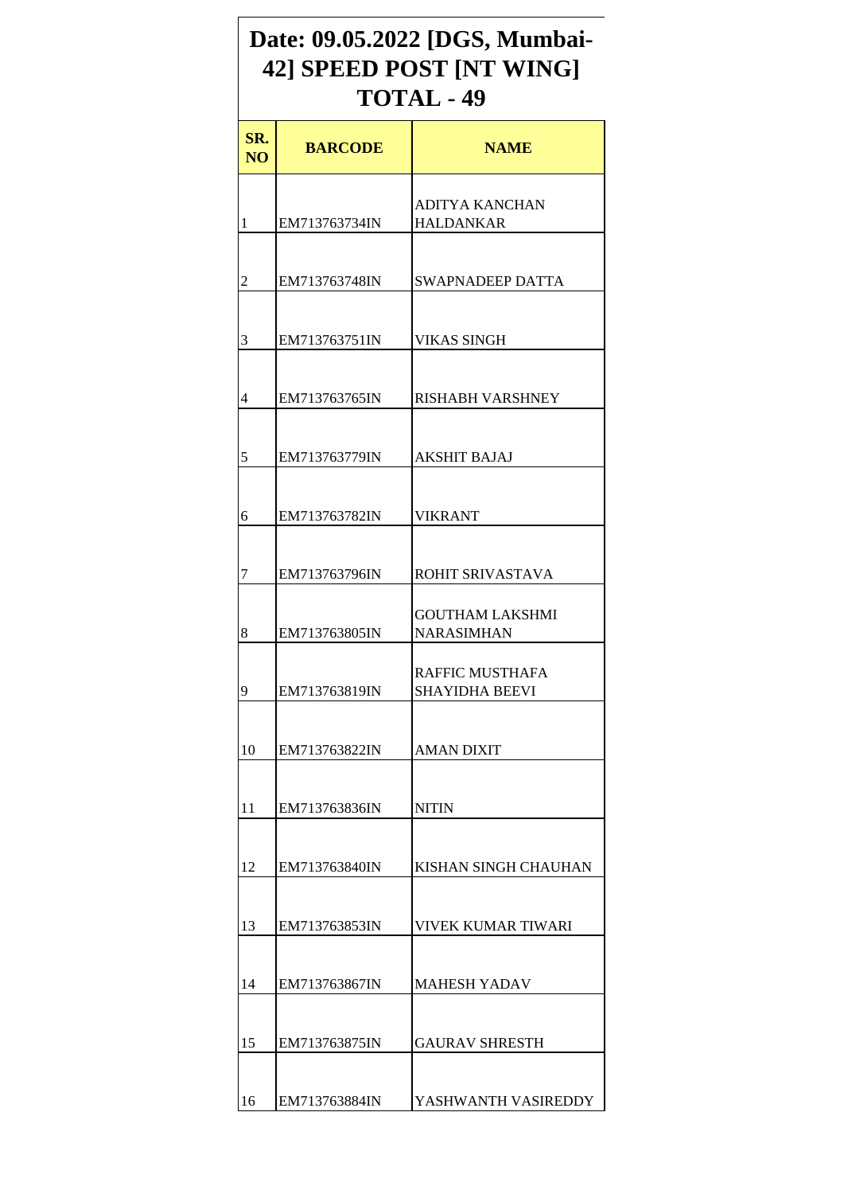## **Date: 09.05.2022 [DGS, Mumbai-42] SPEED POST [NT WING] TOTAL - 49**

| SR.<br>NO <sub>1</sub> | <b>BARCODE</b> | <b>NAME</b>                                |
|------------------------|----------------|--------------------------------------------|
| 1                      | EM713763734IN  | ADITYA KANCHAN<br><b>HALDANKAR</b>         |
| $\overline{2}$         | EM713763748IN  | <b>SWAPNADEEP DATTA</b>                    |
| 3                      | EM713763751IN  | <b>VIKAS SINGH</b>                         |
| 4                      | EM713763765IN  | <b>RISHABH VARSHNEY</b>                    |
|                        |                |                                            |
| 5                      | EM713763779IN  | <b>AKSHIT BAJAJ</b>                        |
| 6                      | EM713763782IN  | <b>VIKRANT</b>                             |
| 7                      | EM713763796IN  | ROHIT SRIVASTAVA<br><b>GOUTHAM LAKSHMI</b> |
| 8                      | EM713763805IN  | <b>NARASIMHAN</b><br>RAFFIC MUSTHAFA       |
| 9                      | EM713763819IN  | <b>SHAYIDHA BEEVI</b>                      |
| 10                     | EM713763822IN  | AMAN DIXIT                                 |
| 11                     | EM713763836IN  | <b>NITIN</b>                               |
| 12                     | EM713763840IN  | KISHAN SINGH CHAUHAN                       |
| 13                     | EM713763853IN  | <b>VIVEK KUMAR TIWARI</b>                  |
| 14                     | EM713763867IN  | <b>MAHESH YADAV</b>                        |
| 15                     | EM713763875IN  | <b>GAURAV SHRESTH</b>                      |
| 16                     | EM713763884IN  | YASHWANTH VASIREDDY                        |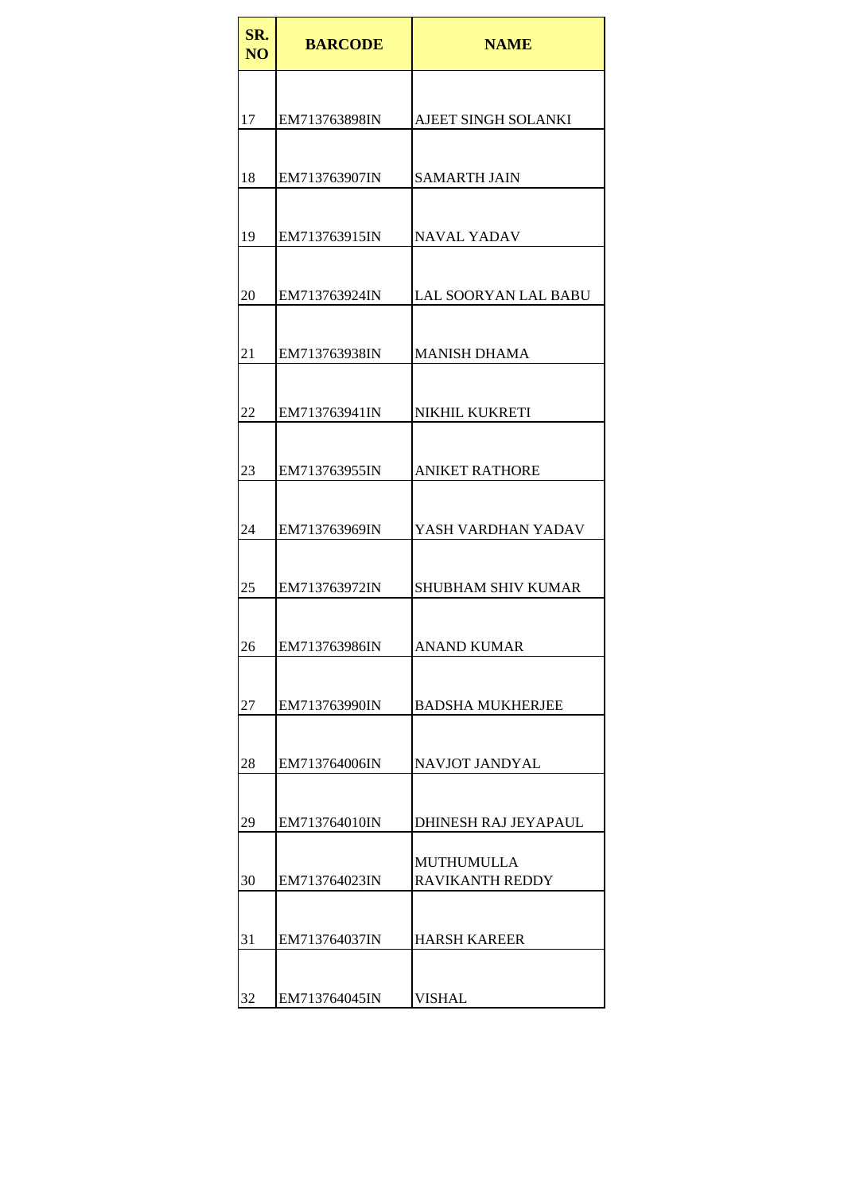| SR.<br>N <sub>O</sub> | <b>BARCODE</b> | <b>NAME</b>                                 |
|-----------------------|----------------|---------------------------------------------|
|                       |                |                                             |
| 17                    | EM713763898IN  | AJEET SINGH SOLANKI                         |
|                       |                |                                             |
| 18                    | EM713763907IN  | <b>SAMARTH JAIN</b>                         |
| 19                    | EM713763915IN  | NAVAL YADAV                                 |
|                       |                |                                             |
| 20                    | EM713763924IN  | LAL SOORYAN LAL BABU                        |
|                       |                |                                             |
| 21                    | EM713763938IN  | <b>MANISH DHAMA</b>                         |
| 22                    | EM713763941IN  | NIKHIL KUKRETI                              |
|                       |                |                                             |
| 23                    | EM713763955IN  | <b>ANIKET RATHORE</b>                       |
|                       |                |                                             |
| 24                    | EM713763969IN  | YASH VARDHAN YADAV                          |
| 25                    | EM713763972IN  | <b>SHUBHAM SHIV KUMAR</b>                   |
|                       |                |                                             |
| 26                    | EM713763986IN  | <b>ANAND KUMAR</b>                          |
| 27                    | EM713763990IN  | <b>BADSHA MUKHERJEE</b>                     |
|                       |                |                                             |
| 28                    | EM713764006IN  | NAVJOT JANDYAL                              |
|                       |                |                                             |
| 29                    | EM713764010IN  | DHINESH RAJ JEYAPAUL                        |
| 30                    | EM713764023IN  | <b>MUTHUMULLA</b><br><b>RAVIKANTH REDDY</b> |
|                       |                |                                             |
| 31                    | EM713764037IN  | <b>HARSH KAREER</b>                         |
| 32                    | EM713764045IN  | <b>VISHAL</b>                               |